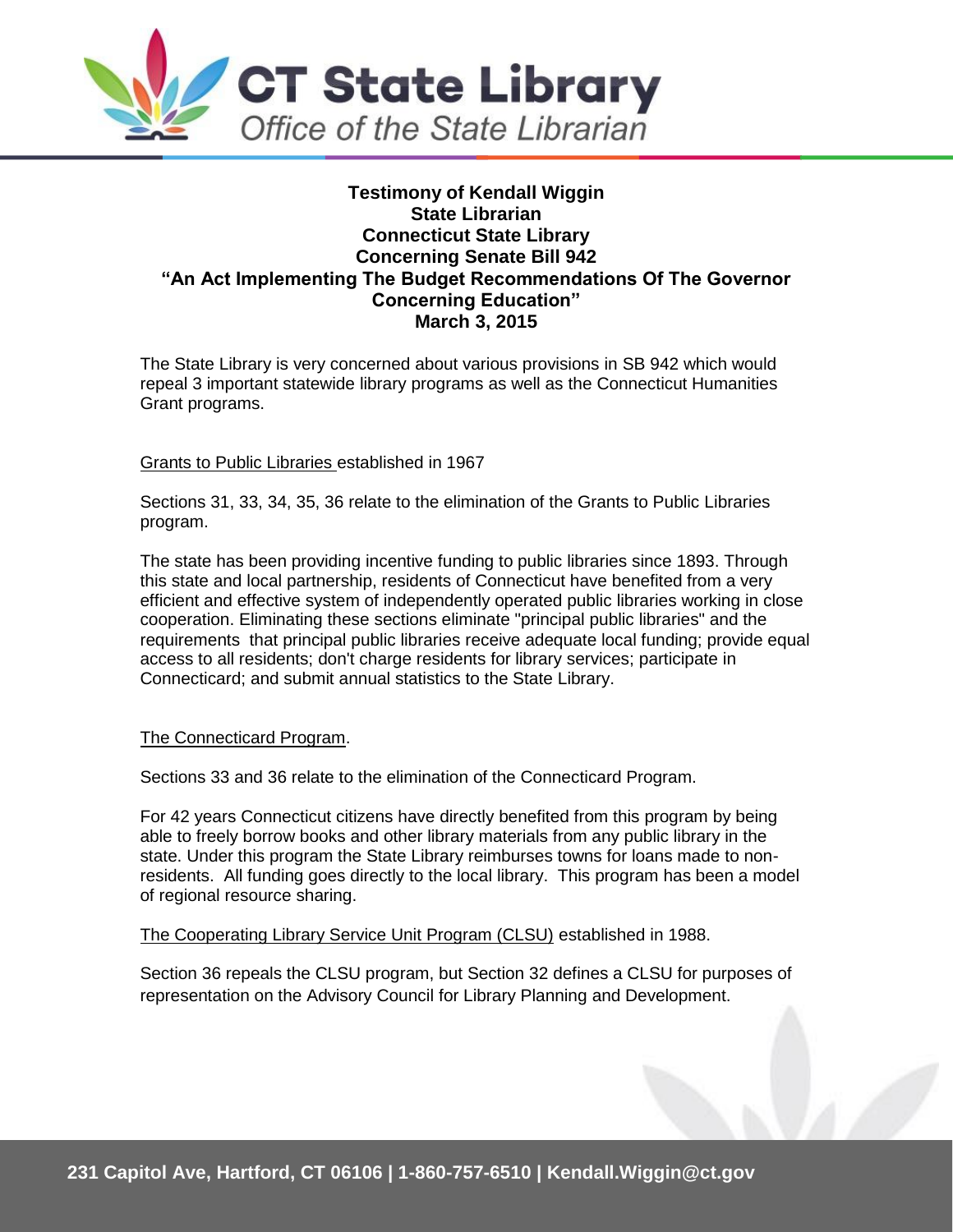

## **Testimony of Kendall Wiggin State Librarian Connecticut State Library Concerning Senate Bill 942 "An Act Implementing The Budget Recommendations Of The Governor Concerning Education" March 3, 2015**

The State Library is very concerned about various provisions in SB 942 which would repeal 3 important statewide library programs as well as the Connecticut Humanities Grant programs.

## Grants to Public Libraries established in 1967

Sections 31, 33, 34, 35, 36 relate to the elimination of the Grants to Public Libraries program.

The state has been providing incentive funding to public libraries since 1893. Through this state and local partnership, residents of Connecticut have benefited from a very efficient and effective system of independently operated public libraries working in close cooperation. Eliminating these sections eliminate "principal public libraries" and the requirements that principal public libraries receive adequate local funding; provide equal access to all residents; don't charge residents for library services; participate in Connecticard; and submit annual statistics to the State Library.

## The Connecticard Program.

Sections 33 and 36 relate to the elimination of the Connecticard Program.

For 42 years Connecticut citizens have directly benefited from this program by being able to freely borrow books and other library materials from any public library in the state. Under this program the State Library reimburses towns for loans made to nonresidents. All funding goes directly to the local library. This program has been a model of regional resource sharing.

The Cooperating Library Service Unit Program (CLSU) established in 1988.

Section 36 repeals the CLSU program, but Section 32 defines a CLSU for purposes of representation on the Advisory Council for Library Planning and Development.